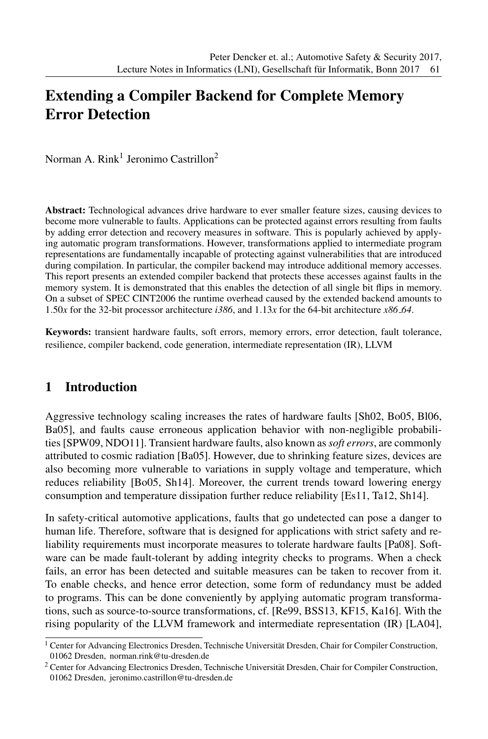# Extending a Compiler Backend for Complete Memory Error Detection

Norman A. Rink<sup>1</sup> Jeronimo Castrillon<sup>2</sup>

Abstract: Technological advances drive hardware to ever smaller feature sizes, causing devices to become more vulnerable to faults. Applications can be protected against errors resulting from faults by adding error detection and recovery measures in software. This is popularly achieved by applying automatic program transformations. However, transformations applied to intermediate program representations are fundamentally incapable of protecting against vulnerabilities that are introduced during compilation. In particular, the compiler backend may introduce additional memory accesses. This report presents an extended compiler backend that protects these accesses against faults in the memory system. It is demonstrated that this enables the detection of all single bit flips in memory. On a subset of SPEC CINT2006 the runtime overhead caused by the extended backend amounts to 1.50*x* for the 32-bit processor architecture *i386*, and 1.13*x* for the 64-bit architecture *x86 64*.

Keywords: transient hardware faults, soft errors, memory errors, error detection, fault tolerance, resilience, compiler backend, code generation, intermediate representation (IR), LLVM

## 1 Introduction

Aggressive technology scaling increases the rates of hardware faults [Sh02, Bo05, Bl06, Ba05], and faults cause erroneous application behavior with non-negligible probabilities [SPW09, NDO11]. Transient hardware faults, also known as *soft errors*, are commonly attributed to cosmic radiation [Ba05]. However, due to shrinking feature sizes, devices are also becoming more vulnerable to variations in supply voltage and temperature, which reduces reliability [Bo05, Sh14]. Moreover, the current trends toward lowering energy consumption and temperature dissipation further reduce reliability [Es11, Ta12, Sh14].

In safety-critical automotive applications, faults that go undetected can pose a danger to human life. Therefore, software that is designed for applications with strict safety and reliability requirements must incorporate measures to tolerate hardware faults [Pa08]. Software can be made fault-tolerant by adding integrity checks to programs. When a check fails, an error has been detected and suitable measures can be taken to recover from it. To enable checks, and hence error detection, some form of redundancy must be added to programs. This can be done conveniently by applying automatic program transformations, such as source-to-source transformations, cf. [Re99, BSS13, KF15, Ka16]. With the rising popularity of the LLVM framework and intermediate representation (IR) [LA04],

<sup>&</sup>lt;sup>1</sup> Center for Advancing Electronics Dresden, Technische Universität Dresden, Chair for Compiler Construction, 01062 Dresden, norman.rink@tu-dresden.de

<sup>&</sup>lt;sup>2</sup> Center for Advancing Electronics Dresden, Technische Universität Dresden, Chair for Compiler Construction, 01062 Dresden, jeronimo.castrillon@tu-dresden.de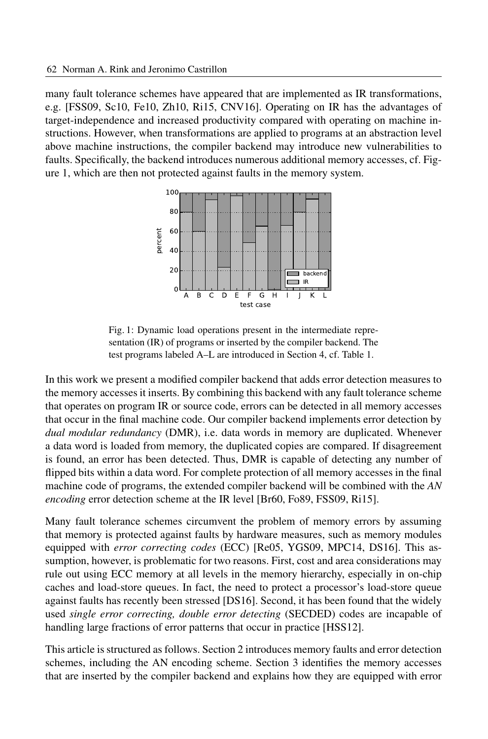many fault tolerance schemes have appeared that are implemented as IR transformations, e.g. [FSS09, Sc10, Fe10, Zh10, Ri15, CNV16]. Operating on IR has the advantages of target-independence and increased productivity compared with operating on machine instructions. However, when transformations are applied to programs at an abstraction level above machine instructions, the compiler backend may introduce new vulnerabilities to faults. Specifically, the backend introduces numerous additional memory accesses, cf. Figure 1, which are then not protected against faults in the memory system.



Fig. 1: Dynamic load operations present in the intermediate representation (IR) of programs or inserted by the compiler backend. The test programs labeled A–L are introduced in Section 4, cf. Table 1.

In this work we present a modified compiler backend that adds error detection measures to the memory accesses it inserts. By combining this backend with any fault tolerance scheme that operates on program IR or source code, errors can be detected in all memory accesses that occur in the final machine code. Our compiler backend implements error detection by *dual modular redundancy* (DMR), i.e. data words in memory are duplicated. Whenever a data word is loaded from memory, the duplicated copies are compared. If disagreement is found, an error has been detected. Thus, DMR is capable of detecting any number of flipped bits within a data word. For complete protection of all memory accesses in the final machine code of programs, the extended compiler backend will be combined with the *AN encoding* error detection scheme at the IR level [Br60, Fo89, FSS09, Ri15].

Many fault tolerance schemes circumvent the problem of memory errors by assuming that memory is protected against faults by hardware measures, such as memory modules equipped with *error correcting codes* (ECC) [Re05, YGS09, MPC14, DS16]. This assumption, however, is problematic for two reasons. First, cost and area considerations may rule out using ECC memory at all levels in the memory hierarchy, especially in on-chip caches and load-store queues. In fact, the need to protect a processor's load-store queue against faults has recently been stressed [DS16]. Second, it has been found that the widely used *single error correcting, double error detecting* (SECDED) codes are incapable of handling large fractions of error patterns that occur in practice [HSS12].

This article is structured as follows. Section 2 introduces memory faults and error detection schemes, including the AN encoding scheme. Section 3 identifies the memory accesses that are inserted by the compiler backend and explains how they are equipped with error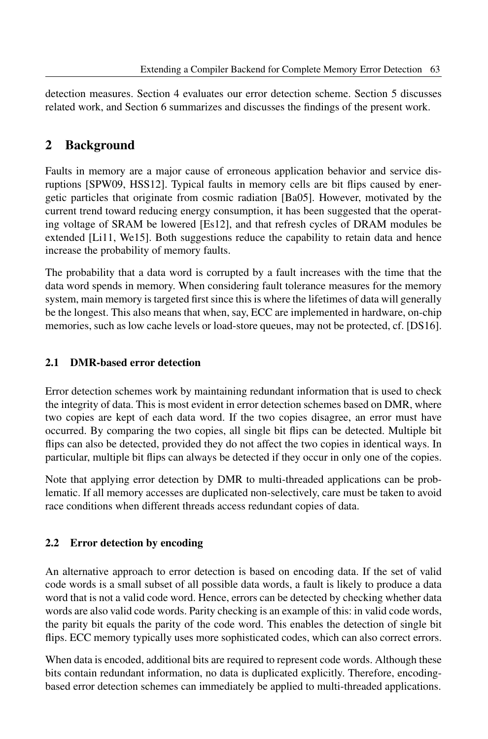detection measures. Section 4 evaluates our error detection scheme. Section 5 discusses related work, and Section 6 summarizes and discusses the findings of the present work.

## 2 Background

Faults in memory are a major cause of erroneous application behavior and service disruptions [SPW09, HSS12]. Typical faults in memory cells are bit flips caused by energetic particles that originate from cosmic radiation [Ba05]. However, motivated by the current trend toward reducing energy consumption, it has been suggested that the operating voltage of SRAM be lowered [Es12], and that refresh cycles of DRAM modules be extended [Li11, We15]. Both suggestions reduce the capability to retain data and hence increase the probability of memory faults.

The probability that a data word is corrupted by a fault increases with the time that the data word spends in memory. When considering fault tolerance measures for the memory system, main memory is targeted first since this is where the lifetimes of data will generally be the longest. This also means that when, say, ECC are implemented in hardware, on-chip memories, such as low cache levels or load-store queues, may not be protected, cf. [DS16].

### 2.1 DMR-based error detection

Error detection schemes work by maintaining redundant information that is used to check the integrity of data. This is most evident in error detection schemes based on DMR, where two copies are kept of each data word. If the two copies disagree, an error must have occurred. By comparing the two copies, all single bit flips can be detected. Multiple bit flips can also be detected, provided they do not affect the two copies in identical ways. In particular, multiple bit flips can always be detected if they occur in only one of the copies.

Note that applying error detection by DMR to multi-threaded applications can be problematic. If all memory accesses are duplicated non-selectively, care must be taken to avoid race conditions when different threads access redundant copies of data.

## 2.2 Error detection by encoding

An alternative approach to error detection is based on encoding data. If the set of valid code words is a small subset of all possible data words, a fault is likely to produce a data word that is not a valid code word. Hence, errors can be detected by checking whether data words are also valid code words. Parity checking is an example of this: in valid code words, the parity bit equals the parity of the code word. This enables the detection of single bit flips. ECC memory typically uses more sophisticated codes, which can also correct errors.

When data is encoded, additional bits are required to represent code words. Although these bits contain redundant information, no data is duplicated explicitly. Therefore, encodingbased error detection schemes can immediately be applied to multi-threaded applications.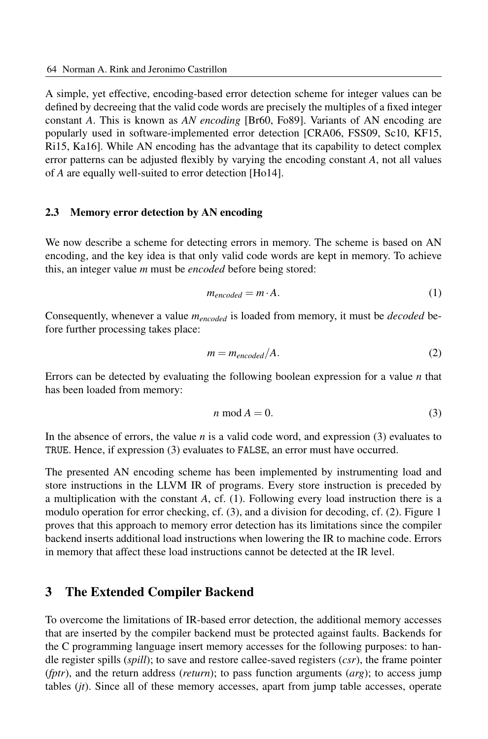A simple, yet effective, encoding-based error detection scheme for integer values can be defined by decreeing that the valid code words are precisely the multiples of a fixed integer constant *A*. This is known as *AN encoding* [Br60, Fo89]. Variants of AN encoding are popularly used in software-implemented error detection [CRA06, FSS09, Sc10, KF15, Ri15, Ka16]. While AN encoding has the advantage that its capability to detect complex error patterns can be adjusted flexibly by varying the encoding constant *A*, not all values of *A* are equally well-suited to error detection [Ho14].

#### 2.3 Memory error detection by AN encoding

We now describe a scheme for detecting errors in memory. The scheme is based on AN encoding, and the key idea is that only valid code words are kept in memory. To achieve this, an integer value *m* must be *encoded* before being stored:

$$
m_{encoded} = m \cdot A. \tag{1}
$$

Consequently, whenever a value  $m_{encoded}$  is loaded from memory, it must be *decoded* before further processing takes place:

$$
m = m_{encoded}/A.
$$
 (2)

Errors can be detected by evaluating the following boolean expression for a value *n* that has been loaded from memory:

$$
n \bmod A = 0. \tag{3}
$$

In the absence of errors, the value *n* is a valid code word, and expression (3) evaluates to TRUE. Hence, if expression (3) evaluates to FALSE, an error must have occurred.

The presented AN encoding scheme has been implemented by instrumenting load and store instructions in the LLVM IR of programs. Every store instruction is preceded by a multiplication with the constant *A*, cf. (1). Following every load instruction there is a modulo operation for error checking, cf. (3), and a division for decoding, cf. (2). Figure 1 proves that this approach to memory error detection has its limitations since the compiler backend inserts additional load instructions when lowering the IR to machine code. Errors in memory that affect these load instructions cannot be detected at the IR level.

#### 3 The Extended Compiler Backend

To overcome the limitations of IR-based error detection, the additional memory accesses that are inserted by the compiler backend must be protected against faults. Backends for the C programming language insert memory accesses for the following purposes: to handle register spills (*spill*); to save and restore callee-saved registers (*csr*), the frame pointer (*fptr*), and the return address (*return*); to pass function arguments (*arg*); to access jump tables (*jt*). Since all of these memory accesses, apart from jump table accesses, operate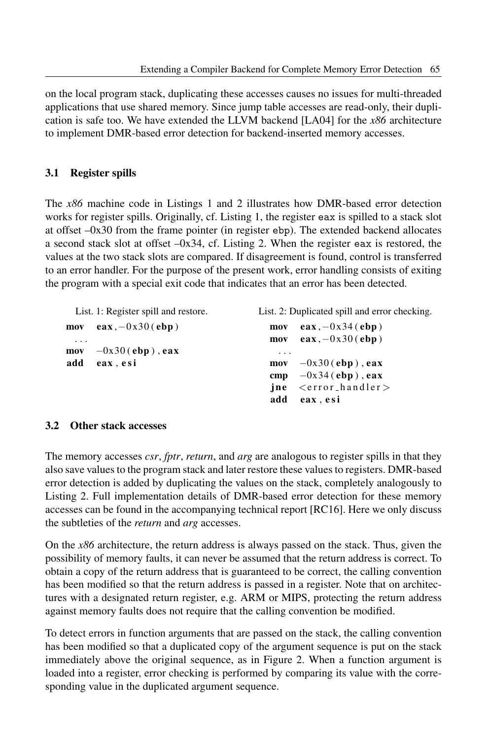List. 2: Duplicated spill and error checking.

on the local program stack, duplicating these accesses causes no issues for multi-threaded applications that use shared memory. Since jump table accesses are read-only, their duplication is safe too. We have extended the LLVM backend [LA04] for the *x86* architecture to implement DMR-based error detection for backend-inserted memory accesses.

#### 3.1 Register spills

The *x86* machine code in Listings 1 and 2 illustrates how DMR-based error detection works for register spills. Originally, cf. Listing 1, the register eax is spilled to a stack slot at offset –0x30 from the frame pointer (in register ebp). The extended backend allocates a second stack slot at offset  $-0x34$ , cf. Listing 2. When the register eax is restored, the values at the two stack slots are compared. If disagreement is found, control is transferred to an error handler. For the purpose of the present work, error handling consists of exiting the program with a special exit code that indicates that an error has been detected.

List. 1: Register spill and restore.

| mov                                   | $\mathbf{e}$ ax, $-0x30$ ( $\mathbf{e}$ bp) | mov<br>mov | $\mathbf{e}$ ax, $-0x34$ ( $\mathbf{e}$ bp)<br>$\mathbf{e}$ ax, $-0x30$ ( $\mathbf{e}$ bp) |
|---------------------------------------|---------------------------------------------|------------|--------------------------------------------------------------------------------------------|
| $\cdot$ $\cdot$ $\cdot$<br>mov<br>add | $-0x30$ (ebp), eax<br>eax, esi              | .          | $\text{mov}$ $-0x30(\text{ebp})$ , eax                                                     |
|                                       |                                             | cmp<br>add | $-0x34$ (ebp), eax<br>$ine <$ $\leq$ error_handler $>$<br>eax, esi                         |

#### 3.2 Other stack accesses

The memory accesses *csr*, *fptr*, *return*, and *arg* are analogous to register spills in that they also save values to the program stack and later restore these values to registers. DMR-based error detection is added by duplicating the values on the stack, completely analogously to Listing 2. Full implementation details of DMR-based error detection for these memory accesses can be found in the accompanying technical report [RC16]. Here we only discuss the subtleties of the *return* and *arg* accesses.

On the *x86* architecture, the return address is always passed on the stack. Thus, given the possibility of memory faults, it can never be assumed that the return address is correct. To obtain a copy of the return address that is guaranteed to be correct, the calling convention has been modified so that the return address is passed in a register. Note that on architectures with a designated return register, e.g. ARM or MIPS, protecting the return address against memory faults does not require that the calling convention be modified.

To detect errors in function arguments that are passed on the stack, the calling convention has been modified so that a duplicated copy of the argument sequence is put on the stack immediately above the original sequence, as in Figure 2. When a function argument is loaded into a register, error checking is performed by comparing its value with the corresponding value in the duplicated argument sequence.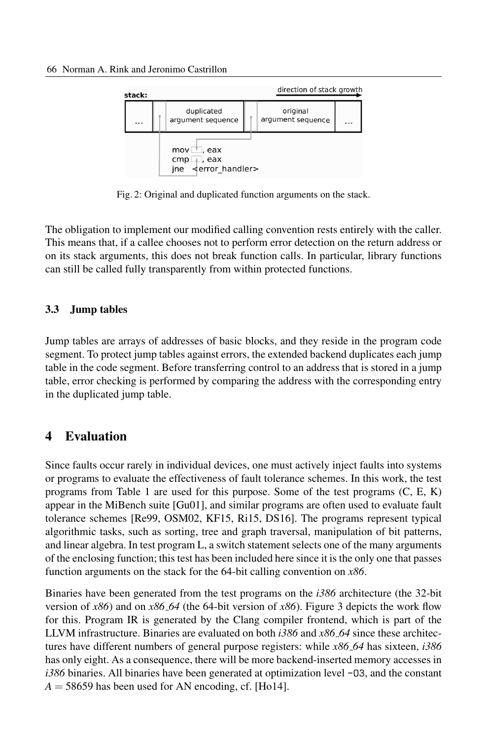

Fig. 2: Original and duplicated function arguments on the stack.

The obligation to implement our modified calling convention rests entirely with the caller. This means that, if a callee chooses not to perform error detection on the return address or on its stack arguments, this does not break function calls. In particular, library functions can still be called fully transparently from within protected functions.

#### 3.3 Jump tables

Jump tables are arrays of addresses of basic blocks, and they reside in the program code segment. To protect jump tables against errors, the extended backend duplicates each jump table in the code segment. Before transferring control to an address that is stored in a jump table, error checking is performed by comparing the address with the corresponding entry in the duplicated jump table.

## 4 Evaluation

Since faults occur rarely in individual devices, one must actively inject faults into systems or programs to evaluate the effectiveness of fault tolerance schemes. In this work, the test programs from Table 1 are used for this purpose. Some of the test programs (C, E, K) appear in the MiBench suite [Gu01], and similar programs are often used to evaluate fault tolerance schemes [Re99, OSM02, KF15, Ri15, DS16]. The programs represent typical algorithmic tasks, such as sorting, tree and graph traversal, manipulation of bit patterns, and linear algebra. In test program L, a switch statement selects one of the many arguments of the enclosing function; this test has been included here since it is the only one that passes function arguments on the stack for the 64-bit calling convention on *x86*.

Binaries have been generated from the test programs on the *i386* architecture (the 32-bit version of *x86*) and on *x86 64* (the 64-bit version of *x86*). Figure 3 depicts the work flow for this. Program IR is generated by the Clang compiler frontend, which is part of the LLVM infrastructure. Binaries are evaluated on both *i386* and *x86 64* since these architectures have different numbers of general purpose registers: while *x86 64* has sixteen, *i386* has only eight. As a consequence, there will be more backend-inserted memory accesses in *i386* binaries. All binaries have been generated at optimization level -O3, and the constant  $A = 58659$  has been used for AN encoding, cf. [Ho14].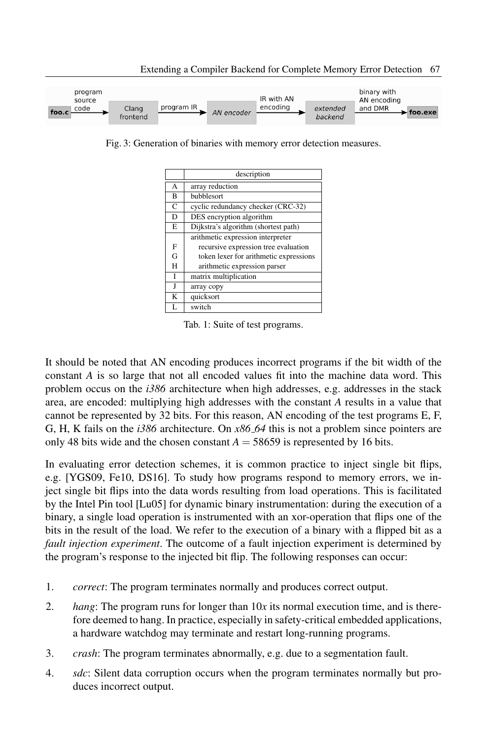

Extending a Compiler Backend for Complete Memory Error Detection 67

Fig. 3: Generation of binaries with memory error detection measures.

|   | description                            |
|---|----------------------------------------|
| A | array reduction                        |
| B | bubblesort                             |
| C | cyclic redundancy checker (CRC-32)     |
| D | DES encryption algorithm               |
| E | Dijkstra's algorithm (shortest path)   |
|   | arithmetic expression interpreter      |
| F | recursive expression tree evaluation   |
| G | token lexer for arithmetic expressions |
| H | arithmetic expression parser           |
| I | matrix multiplication                  |
|   | array copy                             |
| K | quicksort                              |
|   | switch                                 |

Tab. 1: Suite of test programs.

It should be noted that AN encoding produces incorrect programs if the bit width of the constant *A* is so large that not all encoded values fit into the machine data word. This problem occus on the *i386* architecture when high addresses, e.g. addresses in the stack area, are encoded: multiplying high addresses with the constant *A* results in a value that cannot be represented by 32 bits. For this reason, AN encoding of the test programs E, F, G, H, K fails on the *i386* architecture. On *x86 64* this is not a problem since pointers are only 48 bits wide and the chosen constant  $A = 58659$  is represented by 16 bits.

In evaluating error detection schemes, it is common practice to inject single bit flips, e.g. [YGS09, Fe10, DS16]. To study how programs respond to memory errors, we inject single bit flips into the data words resulting from load operations. This is facilitated by the Intel Pin tool [Lu05] for dynamic binary instrumentation: during the execution of a binary, a single load operation is instrumented with an xor-operation that flips one of the bits in the result of the load. We refer to the execution of a binary with a flipped bit as a *fault injection experiment*. The outcome of a fault injection experiment is determined by the program's response to the injected bit flip. The following responses can occur:

- 1. *correct*: The program terminates normally and produces correct output.
- 2. *hang*: The program runs for longer than 10*x* its normal execution time, and is therefore deemed to hang. In practice, especially in safety-critical embedded applications, a hardware watchdog may terminate and restart long-running programs.
- 3. *crash*: The program terminates abnormally, e.g. due to a segmentation fault.
- 4. *sdc*: Silent data corruption occurs when the program terminates normally but produces incorrect output.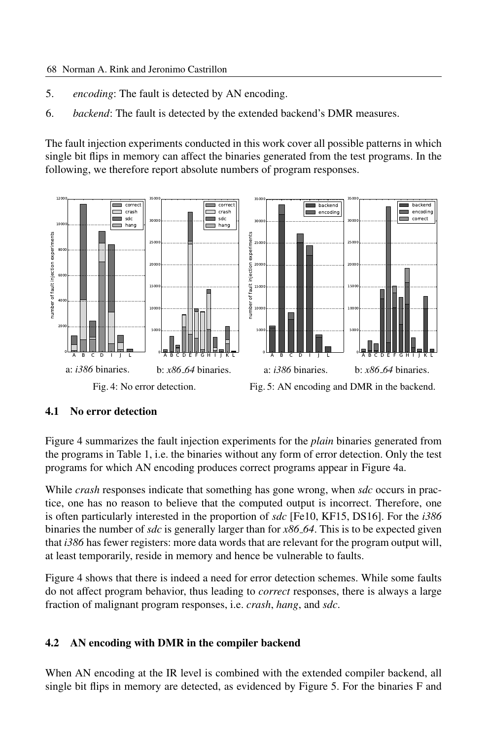- 5. *encoding*: The fault is detected by AN encoding.
- 6. *backend*: The fault is detected by the extended backend's DMR measures.

The fault injection experiments conducted in this work cover all possible patterns in which single bit flips in memory can affect the binaries generated from the test programs. In the following, we therefore report absolute numbers of program responses.



#### 4.1 No error detection

Figure 4 summarizes the fault injection experiments for the *plain* binaries generated from the programs in Table 1, i.e. the binaries without any form of error detection. Only the test programs for which AN encoding produces correct programs appear in Figure 4a.

While *crash* responses indicate that something has gone wrong, when *sdc* occurs in practice, one has no reason to believe that the computed output is incorrect. Therefore, one is often particularly interested in the proportion of *sdc* [Fe10, KF15, DS16]. For the *i386* binaries the number of *sdc* is generally larger than for *x86 64*. This is to be expected given that *i386* has fewer registers: more data words that are relevant for the program output will, at least temporarily, reside in memory and hence be vulnerable to faults.

Figure 4 shows that there is indeed a need for error detection schemes. While some faults do not affect program behavior, thus leading to *correct* responses, there is always a large fraction of malignant program responses, i.e. *crash*, *hang*, and *sdc*.

#### 4.2 AN encoding with DMR in the compiler backend

When AN encoding at the IR level is combined with the extended compiler backend, all single bit flips in memory are detected, as evidenced by Figure 5. For the binaries F and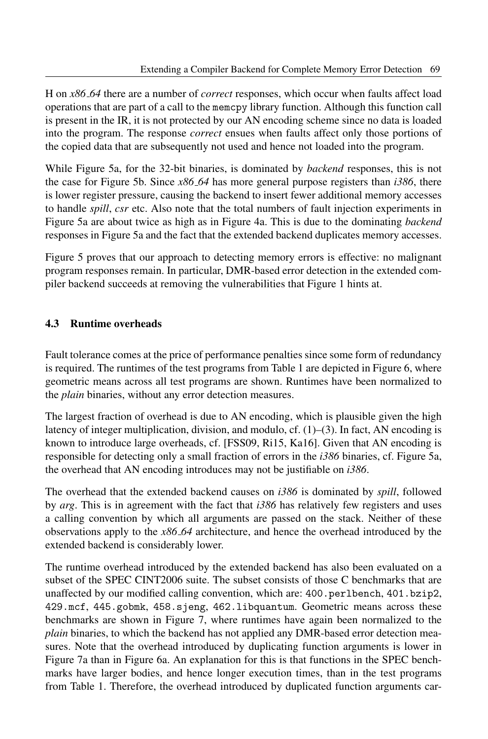H on *x86 64* there are a number of *correct* responses, which occur when faults affect load operations that are part of a call to the memcpy library function. Although this function call is present in the IR, it is not protected by our AN encoding scheme since no data is loaded into the program. The response *correct* ensues when faults affect only those portions of the copied data that are subsequently not used and hence not loaded into the program.

While Figure 5a, for the 32-bit binaries, is dominated by *backend* responses, this is not the case for Figure 5b. Since *x86 64* has more general purpose registers than *i386*, there is lower register pressure, causing the backend to insert fewer additional memory accesses to handle *spill*, *csr* etc. Also note that the total numbers of fault injection experiments in Figure 5a are about twice as high as in Figure 4a. This is due to the dominating *backend* responses in Figure 5a and the fact that the extended backend duplicates memory accesses.

Figure 5 proves that our approach to detecting memory errors is effective: no malignant program responses remain. In particular, DMR-based error detection in the extended compiler backend succeeds at removing the vulnerabilities that Figure 1 hints at.

#### 4.3 Runtime overheads

Fault tolerance comes at the price of performance penalties since some form of redundancy is required. The runtimes of the test programs from Table 1 are depicted in Figure 6, where geometric means across all test programs are shown. Runtimes have been normalized to the *plain* binaries, without any error detection measures.

The largest fraction of overhead is due to AN encoding, which is plausible given the high latency of integer multiplication, division, and modulo,  $cf. (1)$ –(3). In fact, AN encoding is known to introduce large overheads, cf. [FSS09, Ri15, Ka16]. Given that AN encoding is responsible for detecting only a small fraction of errors in the *i386* binaries, cf. Figure 5a, the overhead that AN encoding introduces may not be justifiable on *i386*.

The overhead that the extended backend causes on *i386* is dominated by *spill*, followed by *arg*. This is in agreement with the fact that *i386* has relatively few registers and uses a calling convention by which all arguments are passed on the stack. Neither of these observations apply to the *x86 64* architecture, and hence the overhead introduced by the extended backend is considerably lower.

The runtime overhead introduced by the extended backend has also been evaluated on a subset of the SPEC CINT2006 suite. The subset consists of those C benchmarks that are unaffected by our modified calling convention, which are: 400.perlbench, 401.bzip2, 429.mcf, 445.gobmk, 458.sjeng, 462.libquantum. Geometric means across these benchmarks are shown in Figure 7, where runtimes have again been normalized to the *plain* binaries, to which the backend has not applied any DMR-based error detection measures. Note that the overhead introduced by duplicating function arguments is lower in Figure 7a than in Figure 6a. An explanation for this is that functions in the SPEC benchmarks have larger bodies, and hence longer execution times, than in the test programs from Table 1. Therefore, the overhead introduced by duplicated function arguments car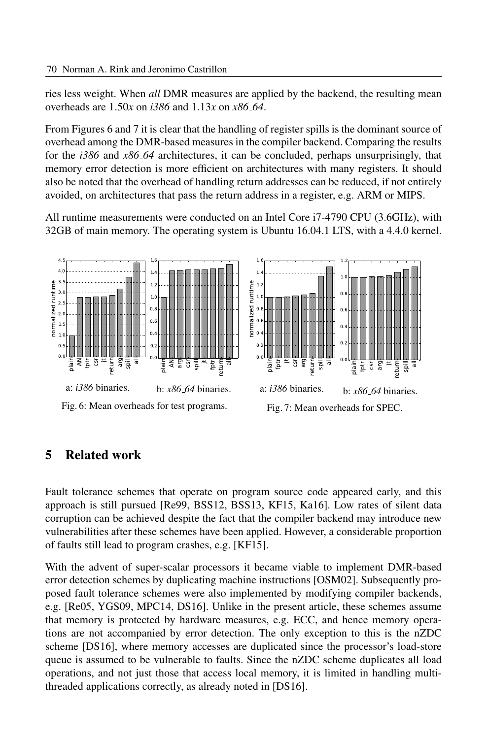ries less weight. When *all* DMR measures are applied by the backend, the resulting mean overheads are 1.50*x* on *i386* and 1.13*x* on *x86 64*.

From Figures 6 and 7 it is clear that the handling of register spills is the dominant source of overhead among the DMR-based measures in the compiler backend. Comparing the results for the *i386* and *x86 64* architectures, it can be concluded, perhaps unsurprisingly, that memory error detection is more efficient on architectures with many registers. It should also be noted that the overhead of handling return addresses can be reduced, if not entirely avoided, on architectures that pass the return address in a register, e.g. ARM or MIPS.

All runtime measurements were conducted on an Intel Core i7-4790 CPU (3.6GHz), with 32GB of main memory. The operating system is Ubuntu 16.04.1 LTS, with a 4.4.0 kernel.



## 5 Related work

Fault tolerance schemes that operate on program source code appeared early, and this approach is still pursued [Re99, BSS12, BSS13, KF15, Ka16]. Low rates of silent data corruption can be achieved despite the fact that the compiler backend may introduce new vulnerabilities after these schemes have been applied. However, a considerable proportion of faults still lead to program crashes, e.g. [KF15].

With the advent of super-scalar processors it became viable to implement DMR-based error detection schemes by duplicating machine instructions [OSM02]. Subsequently proposed fault tolerance schemes were also implemented by modifying compiler backends, e.g. [Re05, YGS09, MPC14, DS16]. Unlike in the present article, these schemes assume that memory is protected by hardware measures, e.g. ECC, and hence memory operations are not accompanied by error detection. The only exception to this is the nZDC scheme [DS16], where memory accesses are duplicated since the processor's load-store queue is assumed to be vulnerable to faults. Since the nZDC scheme duplicates all load operations, and not just those that access local memory, it is limited in handling multithreaded applications correctly, as already noted in [DS16].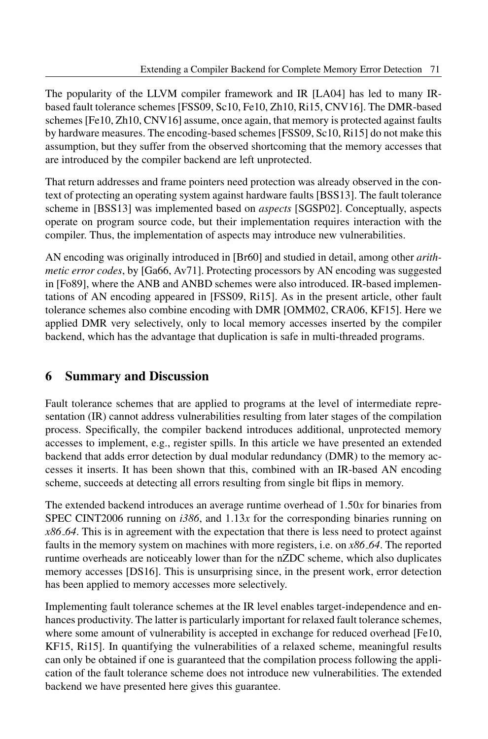The popularity of the LLVM compiler framework and IR [LA04] has led to many IRbased fault tolerance schemes [FSS09, Sc10, Fe10, Zh10, Ri15, CNV16]. The DMR-based schemes[Fe10, Zh10, CNV16] assume, once again, that memory is protected against faults by hardware measures. The encoding-based schemes [FSS09, Sc10, Ri15] do not make this assumption, but they suffer from the observed shortcoming that the memory accesses that are introduced by the compiler backend are left unprotected.

That return addresses and frame pointers need protection was already observed in the context of protecting an operating system against hardware faults [BSS13]. The fault tolerance scheme in [BSS13] was implemented based on *aspects* [SGSP02]. Conceptually, aspects operate on program source code, but their implementation requires interaction with the compiler. Thus, the implementation of aspects may introduce new vulnerabilities.

AN encoding was originally introduced in [Br60] and studied in detail, among other *arithmetic error codes*, by [Ga66, Av71]. Protecting processors by AN encoding was suggested in [Fo89], where the ANB and ANBD schemes were also introduced. IR-based implementations of AN encoding appeared in [FSS09, Ri15]. As in the present article, other fault tolerance schemes also combine encoding with DMR [OMM02, CRA06, KF15]. Here we applied DMR very selectively, only to local memory accesses inserted by the compiler backend, which has the advantage that duplication is safe in multi-threaded programs.

## 6 Summary and Discussion

Fault tolerance schemes that are applied to programs at the level of intermediate representation (IR) cannot address vulnerabilities resulting from later stages of the compilation process. Specifically, the compiler backend introduces additional, unprotected memory accesses to implement, e.g., register spills. In this article we have presented an extended backend that adds error detection by dual modular redundancy (DMR) to the memory accesses it inserts. It has been shown that this, combined with an IR-based AN encoding scheme, succeeds at detecting all errors resulting from single bit flips in memory.

The extended backend introduces an average runtime overhead of 1.50*x* for binaries from SPEC CINT2006 running on  $i386$ , and  $1.13x$  for the corresponding binaries running on *x86 64*. This is in agreement with the expectation that there is less need to protect against faults in the memory system on machines with more registers, i.e. on *x86 64*. The reported runtime overheads are noticeably lower than for the nZDC scheme, which also duplicates memory accesses [DS16]. This is unsurprising since, in the present work, error detection has been applied to memory accesses more selectively.

Implementing fault tolerance schemes at the IR level enables target-independence and enhances productivity. The latter is particularly important for relaxed fault tolerance schemes, where some amount of vulnerability is accepted in exchange for reduced overhead [Fe10, KF15, Ri15]. In quantifying the vulnerabilities of a relaxed scheme, meaningful results can only be obtained if one is guaranteed that the compilation process following the application of the fault tolerance scheme does not introduce new vulnerabilities. The extended backend we have presented here gives this guarantee.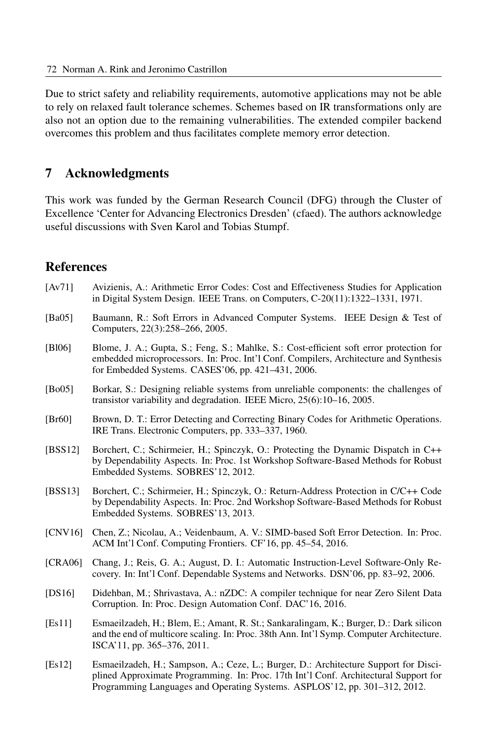Due to strict safety and reliability requirements, automotive applications may not be able to rely on relaxed fault tolerance schemes. Schemes based on IR transformations only are also not an option due to the remaining vulnerabilities. The extended compiler backend overcomes this problem and thus facilitates complete memory error detection.

### 7 Acknowledgments

This work was funded by the German Research Council (DFG) through the Cluster of Excellence 'Center for Advancing Electronics Dresden' (cfaed). The authors acknowledge useful discussions with Sven Karol and Tobias Stumpf.

## References

- [Av71] Avizienis, A.: Arithmetic Error Codes: Cost and Effectiveness Studies for Application in Digital System Design. IEEE Trans. on Computers, C-20(11):1322–1331, 1971.
- [Ba05] Baumann, R.: Soft Errors in Advanced Computer Systems. IEEE Design & Test of Computers, 22(3):258–266, 2005.
- [Bl06] Blome, J. A.; Gupta, S.; Feng, S.; Mahlke, S.: Cost-efficient soft error protection for embedded microprocessors. In: Proc. Int'l Conf. Compilers, Architecture and Synthesis for Embedded Systems. CASES'06, pp. 421–431, 2006.
- [Bo05] Borkar, S.: Designing reliable systems from unreliable components: the challenges of transistor variability and degradation. IEEE Micro, 25(6):10–16, 2005.
- [Br60] Brown, D. T.: Error Detecting and Correcting Binary Codes for Arithmetic Operations. IRE Trans. Electronic Computers, pp. 333–337, 1960.
- [BSS12] Borchert, C.; Schirmeier, H.; Spinczyk, O.: Protecting the Dynamic Dispatch in C++ by Dependability Aspects. In: Proc. 1st Workshop Software-Based Methods for Robust Embedded Systems. SOBRES'12, 2012.
- [BSS13] Borchert, C.; Schirmeier, H.; Spinczyk, O.: Return-Address Protection in C/C++ Code by Dependability Aspects. In: Proc. 2nd Workshop Software-Based Methods for Robust Embedded Systems. SOBRES'13, 2013.
- [CNV16] Chen, Z.; Nicolau, A.; Veidenbaum, A. V.: SIMD-based Soft Error Detection. In: Proc. ACM Int'l Conf. Computing Frontiers. CF'16, pp. 45–54, 2016.
- [CRA06] Chang, J.; Reis, G. A.; August, D. I.: Automatic Instruction-Level Software-Only Recovery. In: Int'l Conf. Dependable Systems and Networks. DSN'06, pp. 83–92, 2006.
- [DS16] Didehban, M.; Shrivastava, A.: nZDC: A compiler technique for near Zero Silent Data Corruption. In: Proc. Design Automation Conf. DAC'16, 2016.
- [Es11] Esmaeilzadeh, H.; Blem, E.; Amant, R. St.; Sankaralingam, K.; Burger, D.: Dark silicon and the end of multicore scaling. In: Proc. 38th Ann. Int'l Symp. Computer Architecture. ISCA'11, pp. 365–376, 2011.
- [Es12] Esmaeilzadeh, H.; Sampson, A.; Ceze, L.; Burger, D.: Architecture Support for Disciplined Approximate Programming. In: Proc. 17th Int'l Conf. Architectural Support for Programming Languages and Operating Systems. ASPLOS'12, pp. 301–312, 2012.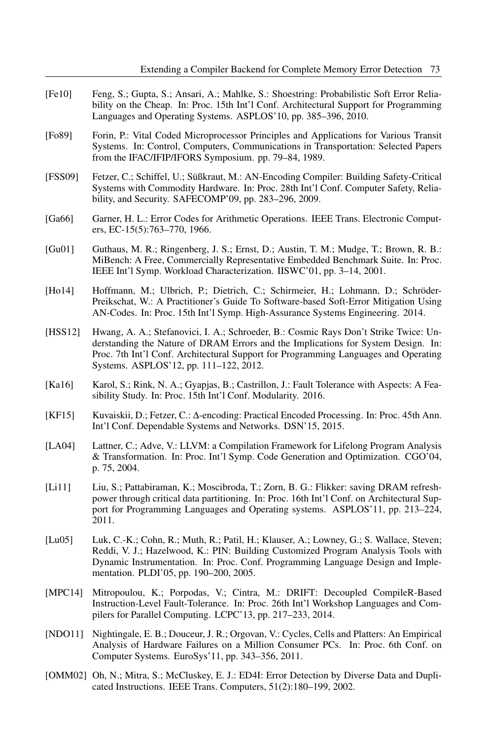- [Fe10] Feng, S.; Gupta, S.; Ansari, A.; Mahlke, S.: Shoestring: Probabilistic Soft Error Reliability on the Cheap. In: Proc. 15th Int'l Conf. Architectural Support for Programming Languages and Operating Systems. ASPLOS'10, pp. 385–396, 2010.
- [Fo89] Forin, P.: Vital Coded Microprocessor Principles and Applications for Various Transit Systems. In: Control, Computers, Communications in Transportation: Selected Papers from the IFAC/IFIP/IFORS Symposium. pp. 79–84, 1989.
- [FSS09] Fetzer, C.; Schiffel, U.; Süßkraut, M.: AN-Encoding Compiler: Building Safety-Critical Systems with Commodity Hardware. In: Proc. 28th Int'l Conf. Computer Safety, Reliability, and Security. SAFECOMP'09, pp. 283–296, 2009.
- [Ga66] Garner, H. L.: Error Codes for Arithmetic Operations. IEEE Trans. Electronic Computers, EC-15(5):763–770, 1966.
- [Gu01] Guthaus, M. R.; Ringenberg, J. S.; Ernst, D.; Austin, T. M.; Mudge, T.; Brown, R. B.: MiBench: A Free, Commercially Representative Embedded Benchmark Suite. In: Proc. IEEE Int'l Symp. Workload Characterization. IISWC'01, pp. 3–14, 2001.
- [Ho14] Hoffmann, M.; Ulbrich, P.; Dietrich, C.; Schirmeier, H.; Lohmann, D.; Schröder-Preikschat, W.: A Practitioner's Guide To Software-based Soft-Error Mitigation Using AN-Codes. In: Proc. 15th Int'l Symp. High-Assurance Systems Engineering. 2014.
- [HSS12] Hwang, A. A.; Stefanovici, I. A.; Schroeder, B.: Cosmic Rays Don't Strike Twice: Understanding the Nature of DRAM Errors and the Implications for System Design. In: Proc. 7th Int'l Conf. Architectural Support for Programming Languages and Operating Systems. ASPLOS'12, pp. 111–122, 2012.
- [Ka16] Karol, S.; Rink, N. A.; Gyapjas, B.; Castrillon, J.: Fault Tolerance with Aspects: A Feasibility Study. In: Proc. 15th Int'l Conf. Modularity. 2016.
- [KF15] Kuvaiskii, D.; Fetzer, C.: Δ-encoding: Practical Encoded Processing. In: Proc. 45th Ann. Int'l Conf. Dependable Systems and Networks. DSN'15, 2015.
- [LA04] Lattner, C.; Adve, V.: LLVM: a Compilation Framework for Lifelong Program Analysis & Transformation. In: Proc. Int'l Symp. Code Generation and Optimization. CGO'04, p. 75, 2004.
- [Li11] Liu, S.; Pattabiraman, K.; Moscibroda, T.; Zorn, B. G.: Flikker: saving DRAM refreshpower through critical data partitioning. In: Proc. 16th Int'l Conf. on Architectural Support for Programming Languages and Operating systems. ASPLOS'11, pp. 213–224, 2011.
- [Lu05] Luk, C.-K.; Cohn, R.; Muth, R.; Patil, H.; Klauser, A.; Lowney, G.; S. Wallace, Steven; Reddi, V. J.; Hazelwood, K.: PIN: Building Customized Program Analysis Tools with Dynamic Instrumentation. In: Proc. Conf. Programming Language Design and Implementation. PLDI'05, pp. 190–200, 2005.
- [MPC14] Mitropoulou, K.; Porpodas, V.; Cintra, M.: DRIFT: Decoupled CompileR-Based Instruction-Level Fault-Tolerance. In: Proc. 26th Int'l Workshop Languages and Compilers for Parallel Computing. LCPC'13, pp. 217–233, 2014.
- [NDO11] Nightingale, E. B.; Douceur, J. R.; Orgovan, V.: Cycles, Cells and Platters: An Empirical Analysis of Hardware Failures on a Million Consumer PCs. In: Proc. 6th Conf. on Computer Systems. EuroSys'11, pp. 343–356, 2011.
- [OMM02] Oh, N.; Mitra, S.; McCluskey, E. J.: ED4I: Error Detection by Diverse Data and Duplicated Instructions. IEEE Trans. Computers, 51(2):180–199, 2002.